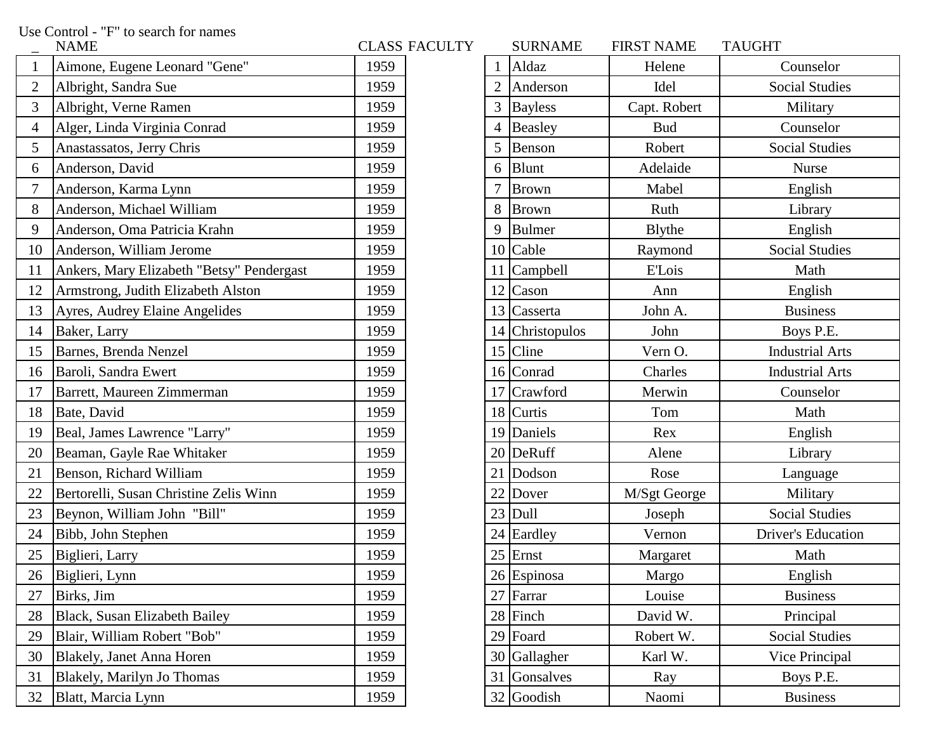Use Control - "F" to search for names

|                | <b>NAME</b>                               |      | ULASS FAUULI I |                | SUKNAME         | FIKS I NAME  | <b>IAUUHI</b>             |
|----------------|-------------------------------------------|------|----------------|----------------|-----------------|--------------|---------------------------|
|                | Aimone, Eugene Leonard "Gene"             | 1959 |                |                | Aldaz           | Helene       | Counselor                 |
| $\overline{2}$ | Albright, Sandra Sue                      | 1959 |                | $\overline{2}$ | Anderson        | Idel         | <b>Social Studies</b>     |
| 3              | Albright, Verne Ramen                     | 1959 |                | 3              | <b>Bayless</b>  | Capt. Robert | Military                  |
| 4              | Alger, Linda Virginia Conrad              | 1959 |                | $\overline{4}$ | <b>Beasley</b>  | <b>Bud</b>   | Counselor                 |
| 5              | Anastassatos, Jerry Chris                 | 1959 |                | 5              | Benson          | Robert       | <b>Social Studies</b>     |
| 6              | Anderson, David                           | 1959 |                | 6              | <b>Blunt</b>    | Adelaide     | Nurse                     |
| 7              | Anderson, Karma Lynn                      | 1959 |                | 7              | <b>Brown</b>    | Mabel        | English                   |
| 8              | Anderson, Michael William                 | 1959 |                | 8              | <b>Brown</b>    | Ruth         | Library                   |
| 9              | Anderson, Oma Patricia Krahn              | 1959 |                | 9              | Bulmer          | Blythe       | English                   |
| 10             | Anderson, William Jerome                  | 1959 |                |                | $10$ Cable      | Raymond      | <b>Social Studies</b>     |
| 11             | Ankers, Mary Elizabeth "Betsy" Pendergast | 1959 |                |                | 11 Campbell     | E'Lois       | Math                      |
| 12             | Armstrong, Judith Elizabeth Alston        | 1959 |                | 12             | Cason           | Ann          | English                   |
| 13             | Ayres, Audrey Elaine Angelides            | 1959 |                |                | 13 Casserta     | John A.      | <b>Business</b>           |
| 14             | Baker, Larry                              | 1959 |                |                | 14 Christopulos | John         | Boys P.E.                 |
| 15             | Barnes, Brenda Nenzel                     | 1959 |                |                | 15 Cline        | Vern O.      | <b>Industrial Arts</b>    |
| 16             | Baroli, Sandra Ewert                      | 1959 |                |                | 16 Conrad       | Charles      | <b>Industrial Arts</b>    |
| 17             | Barrett, Maureen Zimmerman                | 1959 |                |                | 17 Crawford     | Merwin       | Counselor                 |
| 18             | Bate, David                               | 1959 |                |                | $18$ Curtis     | Tom          | Math                      |
| 19             | Beal, James Lawrence "Larry"              | 1959 |                |                | 19 Daniels      | Rex          | English                   |
| 20             | Beaman, Gayle Rae Whitaker                | 1959 |                |                | 20 DeRuff       | Alene        | Library                   |
| 21             | Benson, Richard William                   | 1959 |                | 21             | Dodson          | Rose         | Language                  |
| 22             | Bertorelli, Susan Christine Zelis Winn    | 1959 |                | 22             | Dover           | M/Sgt George | Military                  |
| 23             | Beynon, William John "Bill"               | 1959 |                |                | $23$ Dull       | Joseph       | <b>Social Studies</b>     |
| 24             | Bibb, John Stephen                        | 1959 |                |                | 24 Eardley      | Vernon       | <b>Driver's Education</b> |
| 25             | Biglieri, Larry                           | 1959 |                |                | $25$ Ernst      | Margaret     | Math                      |
| 26             | Biglieri, Lynn                            | 1959 |                |                | 26 Espinosa     | Margo        | English                   |
| 27             | Birks, Jim                                | 1959 |                |                | 27 Farrar       | Louise       | <b>Business</b>           |
| 28             | Black, Susan Elizabeth Bailey             | 1959 |                |                | 28 Finch        | David W.     | Principal                 |
| 29             | Blair, William Robert "Bob"               | 1959 |                |                | $29$ Foard      | Robert W.    | <b>Social Studies</b>     |
| 30             | <b>Blakely, Janet Anna Horen</b>          | 1959 |                |                | 30 Gallagher    | Karl W.      | Vice Principal            |
| 31             | Blakely, Marilyn Jo Thomas                | 1959 |                |                | 31 Gonsalves    | Ray          | Boys P.E.                 |
| 32             | Blatt, Marcia Lynn                        | 1959 |                |                | 32 Goodish      | Naomi        | <b>Business</b>           |

| <b>NAME</b>                   |                                                                                                                                                                                                                                                                                                                                                                                                                                                                                                                                                                                                                                                      |                      | <b>SURNAME</b> | <b>FIRST NAME</b>                                                                                                                                                                                                                                                                                                                                                                                                                     | <b>TAUGHT</b>             |
|-------------------------------|------------------------------------------------------------------------------------------------------------------------------------------------------------------------------------------------------------------------------------------------------------------------------------------------------------------------------------------------------------------------------------------------------------------------------------------------------------------------------------------------------------------------------------------------------------------------------------------------------------------------------------------------------|----------------------|----------------|---------------------------------------------------------------------------------------------------------------------------------------------------------------------------------------------------------------------------------------------------------------------------------------------------------------------------------------------------------------------------------------------------------------------------------------|---------------------------|
| Aimone, Eugene Leonard "Gene" | 1959                                                                                                                                                                                                                                                                                                                                                                                                                                                                                                                                                                                                                                                 |                      |                | Helene                                                                                                                                                                                                                                                                                                                                                                                                                                | Counselor                 |
| Albright, Sandra Sue          | 1959                                                                                                                                                                                                                                                                                                                                                                                                                                                                                                                                                                                                                                                 |                      |                | Idel                                                                                                                                                                                                                                                                                                                                                                                                                                  | <b>Social Studies</b>     |
| Albright, Verne Ramen         | 1959                                                                                                                                                                                                                                                                                                                                                                                                                                                                                                                                                                                                                                                 |                      |                | Capt. Robert                                                                                                                                                                                                                                                                                                                                                                                                                          | Military                  |
| Alger, Linda Virginia Conrad  | 1959                                                                                                                                                                                                                                                                                                                                                                                                                                                                                                                                                                                                                                                 |                      |                | <b>Bud</b>                                                                                                                                                                                                                                                                                                                                                                                                                            | Counselor                 |
| Anastassatos, Jerry Chris     | 1959                                                                                                                                                                                                                                                                                                                                                                                                                                                                                                                                                                                                                                                 | 5                    |                | Robert                                                                                                                                                                                                                                                                                                                                                                                                                                | <b>Social Studies</b>     |
|                               | 1959                                                                                                                                                                                                                                                                                                                                                                                                                                                                                                                                                                                                                                                 | 6                    |                | Adelaide                                                                                                                                                                                                                                                                                                                                                                                                                              | <b>Nurse</b>              |
| Anderson, Karma Lynn          | 1959                                                                                                                                                                                                                                                                                                                                                                                                                                                                                                                                                                                                                                                 |                      |                | Mabel                                                                                                                                                                                                                                                                                                                                                                                                                                 | English                   |
|                               | 1959                                                                                                                                                                                                                                                                                                                                                                                                                                                                                                                                                                                                                                                 |                      |                | Ruth                                                                                                                                                                                                                                                                                                                                                                                                                                  | Library                   |
| Anderson, Oma Patricia Krahn  | 1959                                                                                                                                                                                                                                                                                                                                                                                                                                                                                                                                                                                                                                                 |                      |                | <b>B</b> lythe                                                                                                                                                                                                                                                                                                                                                                                                                        | English                   |
|                               | 1959                                                                                                                                                                                                                                                                                                                                                                                                                                                                                                                                                                                                                                                 |                      |                | Raymond                                                                                                                                                                                                                                                                                                                                                                                                                               | <b>Social Studies</b>     |
|                               | 1959                                                                                                                                                                                                                                                                                                                                                                                                                                                                                                                                                                                                                                                 |                      |                | E'Lois                                                                                                                                                                                                                                                                                                                                                                                                                                | Math                      |
|                               | 1959                                                                                                                                                                                                                                                                                                                                                                                                                                                                                                                                                                                                                                                 |                      |                | Ann                                                                                                                                                                                                                                                                                                                                                                                                                                   | English                   |
|                               | 1959                                                                                                                                                                                                                                                                                                                                                                                                                                                                                                                                                                                                                                                 |                      |                | John A.                                                                                                                                                                                                                                                                                                                                                                                                                               | <b>Business</b>           |
|                               | 1959                                                                                                                                                                                                                                                                                                                                                                                                                                                                                                                                                                                                                                                 |                      |                | John                                                                                                                                                                                                                                                                                                                                                                                                                                  | Boys P.E.                 |
|                               | 1959                                                                                                                                                                                                                                                                                                                                                                                                                                                                                                                                                                                                                                                 |                      |                | Vern O.                                                                                                                                                                                                                                                                                                                                                                                                                               | <b>Industrial Arts</b>    |
|                               | 1959                                                                                                                                                                                                                                                                                                                                                                                                                                                                                                                                                                                                                                                 |                      |                | Charles                                                                                                                                                                                                                                                                                                                                                                                                                               | <b>Industrial Arts</b>    |
|                               | 1959                                                                                                                                                                                                                                                                                                                                                                                                                                                                                                                                                                                                                                                 |                      |                | Merwin                                                                                                                                                                                                                                                                                                                                                                                                                                | Counselor                 |
|                               | 1959                                                                                                                                                                                                                                                                                                                                                                                                                                                                                                                                                                                                                                                 |                      |                | Tom                                                                                                                                                                                                                                                                                                                                                                                                                                   | Math                      |
|                               | 1959                                                                                                                                                                                                                                                                                                                                                                                                                                                                                                                                                                                                                                                 |                      |                | Rex                                                                                                                                                                                                                                                                                                                                                                                                                                   | English                   |
|                               | 1959                                                                                                                                                                                                                                                                                                                                                                                                                                                                                                                                                                                                                                                 |                      |                | Alene                                                                                                                                                                                                                                                                                                                                                                                                                                 | Library                   |
|                               | 1959                                                                                                                                                                                                                                                                                                                                                                                                                                                                                                                                                                                                                                                 |                      |                | Rose                                                                                                                                                                                                                                                                                                                                                                                                                                  | Language                  |
|                               | 1959                                                                                                                                                                                                                                                                                                                                                                                                                                                                                                                                                                                                                                                 |                      |                | M/Sgt George                                                                                                                                                                                                                                                                                                                                                                                                                          | Military                  |
|                               | 1959                                                                                                                                                                                                                                                                                                                                                                                                                                                                                                                                                                                                                                                 |                      |                | Joseph                                                                                                                                                                                                                                                                                                                                                                                                                                | <b>Social Studies</b>     |
|                               | 1959                                                                                                                                                                                                                                                                                                                                                                                                                                                                                                                                                                                                                                                 |                      |                | Vernon                                                                                                                                                                                                                                                                                                                                                                                                                                | <b>Driver's Education</b> |
|                               | 1959                                                                                                                                                                                                                                                                                                                                                                                                                                                                                                                                                                                                                                                 |                      |                | Margaret                                                                                                                                                                                                                                                                                                                                                                                                                              | Math                      |
|                               | 1959                                                                                                                                                                                                                                                                                                                                                                                                                                                                                                                                                                                                                                                 |                      |                | Margo                                                                                                                                                                                                                                                                                                                                                                                                                                 | English                   |
|                               | 1959                                                                                                                                                                                                                                                                                                                                                                                                                                                                                                                                                                                                                                                 |                      |                | Louise                                                                                                                                                                                                                                                                                                                                                                                                                                | <b>Business</b>           |
|                               | 1959                                                                                                                                                                                                                                                                                                                                                                                                                                                                                                                                                                                                                                                 |                      |                | David W.                                                                                                                                                                                                                                                                                                                                                                                                                              | Principal                 |
| Blair, William Robert "Bob"   | 1959                                                                                                                                                                                                                                                                                                                                                                                                                                                                                                                                                                                                                                                 |                      |                | Robert W.                                                                                                                                                                                                                                                                                                                                                                                                                             | <b>Social Studies</b>     |
|                               | 1959                                                                                                                                                                                                                                                                                                                                                                                                                                                                                                                                                                                                                                                 |                      |                | Karl W.                                                                                                                                                                                                                                                                                                                                                                                                                               | Vice Principal            |
| Blakely, Marilyn Jo Thomas    | 1959                                                                                                                                                                                                                                                                                                                                                                                                                                                                                                                                                                                                                                                 |                      |                | Ray                                                                                                                                                                                                                                                                                                                                                                                                                                   | Boys P.E.                 |
|                               | 1959                                                                                                                                                                                                                                                                                                                                                                                                                                                                                                                                                                                                                                                 |                      |                | Naomi                                                                                                                                                                                                                                                                                                                                                                                                                                 | <b>Business</b>           |
|                               | Anderson, David<br>Anderson, Michael William<br>Anderson, William Jerome<br>Ankers, Mary Elizabeth "Betsy" Pendergast<br>Armstrong, Judith Elizabeth Alston<br>Ayres, Audrey Elaine Angelides<br>Baker, Larry<br>Barnes, Brenda Nenzel<br>Baroli, Sandra Ewert<br>Barrett, Maureen Zimmerman<br>Bate, David<br>Beal, James Lawrence "Larry"<br>Beaman, Gayle Rae Whitaker<br>Benson, Richard William<br>Bertorelli, Susan Christine Zelis Winn<br>Beynon, William John "Bill"<br>Bibb, John Stephen<br>Biglieri, Larry<br>26 Biglieri, Lynn<br>Birks, Jim<br>Black, Susan Elizabeth Bailey<br><b>Blakely, Janet Anna Horen</b><br>Blatt, Marcia Lynn | <b>CLASS FACULTY</b> |                | Aldaz<br>Anderson<br><b>Bayless</b><br>Beasley<br>Benson<br>Blunt<br><b>Brown</b><br>Brown<br>Bulmer<br>10 Cable<br>11 Campbell<br>$12$ Cason<br>13 Casserta<br>14 Christopulos<br>15 Cline<br>16 Conrad<br>17 Crawford<br>18 Curtis<br>19 Daniels<br>20 DeRuff<br>21 Dodson<br>22 Dover<br>$23$ Dull<br>24 Eardley<br>$25$ Ernst<br>$26$ Espinosa<br>27 Farrar<br>28 Finch<br>29 Foard<br>30 Gallagher<br>31 Gonsalves<br>32 Goodish |                           |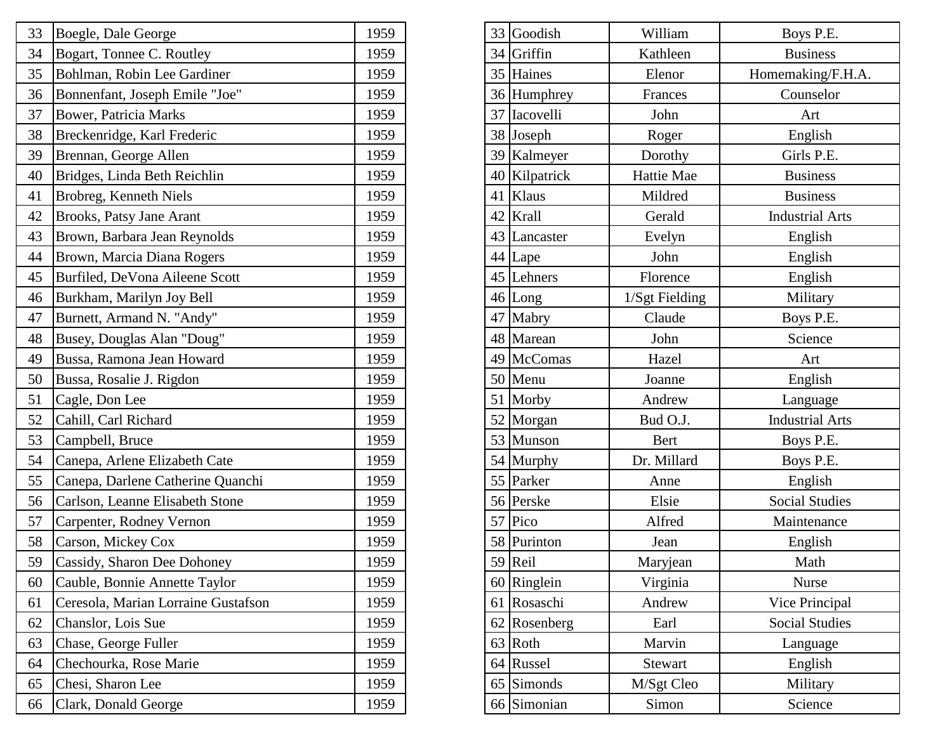| 33 | Boegle, Dale George                 | 1959 |  | 33 Goodish    | William        | Boys P.E.              |
|----|-------------------------------------|------|--|---------------|----------------|------------------------|
| 34 | Bogart, Tonnee C. Routley           | 1959 |  | 34 Griffin    | Kathleen       | <b>Business</b>        |
| 35 | Bohlman, Robin Lee Gardiner         | 1959 |  | 35 Haines     | Elenor         | Homemaking/F.H         |
| 36 | Bonnenfant, Joseph Emile "Joe"      | 1959 |  | 36 Humphrey   | Frances        | Counselor              |
| 37 | <b>Bower, Patricia Marks</b>        | 1959 |  | 37 Iacovelli  | John           | Art                    |
| 38 | Breckenridge, Karl Frederic         | 1959 |  | 38 Joseph     | Roger          | English                |
| 39 | Brennan, George Allen               | 1959 |  | 39 Kalmeyer   | Dorothy        | Girls P.E.             |
| 40 | Bridges, Linda Beth Reichlin        | 1959 |  | 40 Kilpatrick | Hattie Mae     | <b>Business</b>        |
| 41 | Brobreg, Kenneth Niels              | 1959 |  | 41 Klaus      | Mildred        | <b>Business</b>        |
| 42 | Brooks, Patsy Jane Arant            | 1959 |  | 42 Krall      | Gerald         | <b>Industrial Arts</b> |
| 43 | Brown, Barbara Jean Reynolds        | 1959 |  | 43 Lancaster  | Evelyn         | English                |
| 44 | Brown, Marcia Diana Rogers          | 1959 |  | 44 Lape       | John           | English                |
| 45 | Burfiled, DeVona Aileene Scott      | 1959 |  | 45 Lehners    | Florence       | English                |
| 46 | Burkham, Marilyn Joy Bell           | 1959 |  | $46$ Long     | 1/Sgt Fielding | Military               |
| 47 | Burnett, Armand N. "Andy"           | 1959 |  | 47 Mabry      | Claude         | Boys P.E.              |
| 48 | Busey, Douglas Alan "Doug"          | 1959 |  | 48 Marean     | John           | Science                |
| 49 | Bussa, Ramona Jean Howard           | 1959 |  | 49 McComas    | Hazel          | Art                    |
| 50 | Bussa, Rosalie J. Rigdon            | 1959 |  | 50 Menu       | Joanne         | English                |
| 51 | Cagle, Don Lee                      | 1959 |  | 51 Morby      | Andrew         | Language               |
| 52 | Cahill, Carl Richard                | 1959 |  | 52 Morgan     | Bud O.J.       | <b>Industrial Arts</b> |
| 53 | Campbell, Bruce                     | 1959 |  | 53 Munson     | <b>Bert</b>    | Boys P.E.              |
| 54 | Canepa, Arlene Elizabeth Cate       | 1959 |  | 54 Murphy     | Dr. Millard    | Boys P.E.              |
| 55 | Canepa, Darlene Catherine Quanchi   | 1959 |  | 55 Parker     | Anne           | English                |
| 56 | Carlson, Leanne Elisabeth Stone     | 1959 |  | 56 Perske     | Elsie          | <b>Social Studies</b>  |
| 57 | Carpenter, Rodney Vernon            | 1959 |  | 57 Pico       | Alfred         | Maintenance            |
| 58 | Carson, Mickey Cox                  | 1959 |  | 58 Purinton   | Jean           | English                |
| 59 | Cassidy, Sharon Dee Dohoney         | 1959 |  | $59$ Reil     | Maryjean       | Math                   |
| 60 | Cauble, Bonnie Annette Taylor       | 1959 |  | 60 Ringlein   | Virginia       | <b>Nurse</b>           |
| 61 | Ceresola, Marian Lorraine Gustafson | 1959 |  | 61 Rosaschi   | Andrew         | Vice Principal         |
| 62 | Chanslor, Lois Sue                  | 1959 |  | 62 Rosenberg  | Earl           | <b>Social Studies</b>  |
| 63 | Chase, George Fuller                | 1959 |  | 63 Roth       | Marvin         | Language               |
| 64 | Chechourka, Rose Marie              | 1959 |  | 64 Russel     | Stewart        | English                |
| 65 | Chesi, Sharon Lee                   | 1959 |  | 65 Simonds    | M/Sgt Cleo     | Military               |
| 66 | Clark, Donald George                | 1959 |  | 66 Simonian   | Simon          | Science                |

|    | 33 Boegle, Dale George              | 1959 |  | 33 Goodish    | William        | Boys P.E.              |
|----|-------------------------------------|------|--|---------------|----------------|------------------------|
| 34 | Bogart, Tonnee C. Routley           | 1959 |  | 34 Griffin    | Kathleen       | <b>Business</b>        |
| 35 | Bohlman, Robin Lee Gardiner         | 1959 |  | 35 Haines     | Elenor         | Homemaking/F.H.A.      |
| 36 | Bonnenfant, Joseph Emile "Joe"      | 1959 |  | 36 Humphrey   | Frances        | Counselor              |
| 37 | <b>Bower, Patricia Marks</b>        | 1959 |  | 37 Iacovelli  | John           | Art                    |
| 38 | Breckenridge, Karl Frederic         | 1959 |  | 38 Joseph     | Roger          | English                |
| 39 | Brennan, George Allen               | 1959 |  | 39 Kalmeyer   | Dorothy        | Girls P.E.             |
| 40 | Bridges, Linda Beth Reichlin        | 1959 |  | 40 Kilpatrick | Hattie Mae     | <b>Business</b>        |
| 41 | Brobreg, Kenneth Niels              | 1959 |  | 41 Klaus      | Mildred        | <b>Business</b>        |
| 42 | <b>Brooks, Patsy Jane Arant</b>     | 1959 |  | 42 Krall      | Gerald         | <b>Industrial Arts</b> |
| 43 | Brown, Barbara Jean Reynolds        | 1959 |  | 43 Lancaster  | Evelyn         | English                |
| 44 | Brown, Marcia Diana Rogers          | 1959 |  | 44 Lape       | John           | English                |
| 45 | Burfiled, DeVona Aileene Scott      | 1959 |  | 45 Lehners    | Florence       | English                |
| 46 | Burkham, Marilyn Joy Bell           | 1959 |  | 46 Long       | 1/Sgt Fielding | Military               |
| 47 | Burnett, Armand N. "Andy"           | 1959 |  | 47 Mabry      | Claude         | Boys P.E.              |
| 48 | Busey, Douglas Alan "Doug"          | 1959 |  | 48 Marean     | John           | Science                |
| 49 | Bussa, Ramona Jean Howard           | 1959 |  | 49 McComas    | Hazel          | Art                    |
| 50 | Bussa, Rosalie J. Rigdon            | 1959 |  | 50 Menu       | Joanne         | English                |
| 51 | Cagle, Don Lee                      | 1959 |  | 51 Morby      | Andrew         | Language               |
| 52 | Cahill, Carl Richard                | 1959 |  | 52 Morgan     | Bud O.J.       | <b>Industrial Arts</b> |
| 53 | Campbell, Bruce                     | 1959 |  | 53 Munson     | Bert           | Boys P.E.              |
| 54 | Canepa, Arlene Elizabeth Cate       | 1959 |  | 54 Murphy     | Dr. Millard    | Boys P.E.              |
| 55 | Canepa, Darlene Catherine Quanchi   | 1959 |  | 55 Parker     | Anne           | English                |
| 56 | Carlson, Leanne Elisabeth Stone     | 1959 |  | 56 Perske     | Elsie          | <b>Social Studies</b>  |
| 57 | Carpenter, Rodney Vernon            | 1959 |  | 57 Pico       | Alfred         | Maintenance            |
| 58 | Carson, Mickey Cox                  | 1959 |  | 58 Purinton   | Jean           | English                |
|    | 59 Cassidy, Sharon Dee Dohoney      | 1959 |  | $59$ Reil     | Maryjean       | Math                   |
| 60 | Cauble, Bonnie Annette Taylor       | 1959 |  | 60 Ringlein   | Virginia       | Nurse                  |
| 61 | Ceresola, Marian Lorraine Gustafson | 1959 |  | 61 Rosaschi   | Andrew         | Vice Principal         |
| 62 | Chanslor, Lois Sue                  | 1959 |  | 62 Rosenberg  | Earl           | <b>Social Studies</b>  |
| 63 | Chase, George Fuller                | 1959 |  | 63 Roth       | Marvin         | Language               |
| 64 | Chechourka, Rose Marie              | 1959 |  | 64 Russel     | Stewart        | English                |
| 65 | Chesi, Sharon Lee                   | 1959 |  | 65 Simonds    | M/Sgt Cleo     | Military               |
| 66 | Clark, Donald George                | 1959 |  | 66 Simonian   | Simon          | Science                |
|    |                                     |      |  |               |                |                        |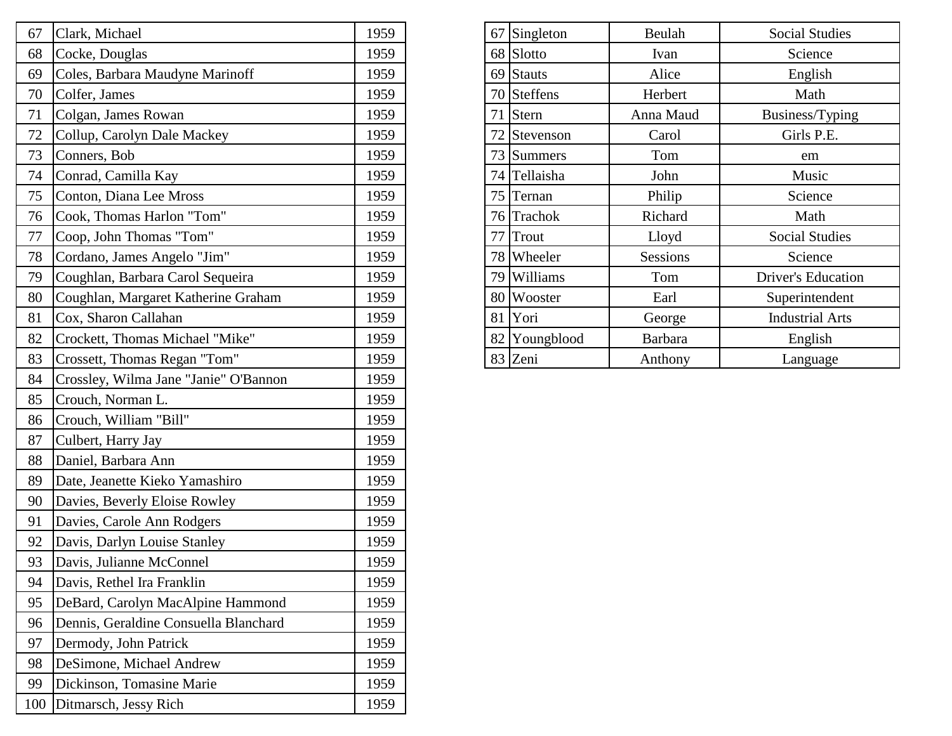| Clark, Michael<br>67                        | 1959 | 67 Singleton  | Beulah          | <b>Social Studies</b>     |
|---------------------------------------------|------|---------------|-----------------|---------------------------|
| Cocke, Douglas<br>68                        | 1959 | 68 Slotto     | Ivan            | Science                   |
| Coles, Barbara Maudyne Marinoff<br>69       | 1959 | 69 Stauts     | Alice           | English                   |
| Colfer, James<br>70                         | 1959 | 70 Steffens   | Herbert         | Math                      |
| Colgan, James Rowan<br>71                   | 1959 | 71 Stern      | Anna Maud       | Business/Typing           |
| Collup, Carolyn Dale Mackey<br>72           | 1959 | 72 Stevenson  | Carol           | Girls P.E.                |
| Conners, Bob<br>73                          | 1959 | 73 Summers    | Tom             | em                        |
| Conrad, Camilla Kay<br>74                   | 1959 | 74 Tellaisha  | John            | Music                     |
| Conton, Diana Lee Mross<br>75               | 1959 | 75 Ternan     | Philip          | Science                   |
| Cook, Thomas Harlon "Tom"<br>76             | 1959 | 76 Trachok    | Richard         | Math                      |
| Coop, John Thomas "Tom"<br>77               | 1959 | 77 Trout      | Lloyd           | <b>Social Studies</b>     |
| Cordano, James Angelo "Jim"<br>78           | 1959 | 78 Wheeler    | <b>Sessions</b> | Science                   |
| Coughlan, Barbara Carol Sequeira<br>79      | 1959 | 79 Williams   | Tom             | <b>Driver's Education</b> |
| 80<br>Coughlan, Margaret Katherine Graham   | 1959 | 80 Wooster    | Earl            | Superintendent            |
| Cox, Sharon Callahan<br>81                  | 1959 | 81 Yori       | George          | <b>Industrial Arts</b>    |
| Crockett, Thomas Michael "Mike"<br>82       | 1959 | 82 Youngblood | <b>Barbara</b>  | English                   |
| Crossett, Thomas Regan "Tom"<br>83          | 1959 | 83 Zeni       | Anthony         | Language                  |
| Crossley, Wilma Jane "Janie" O'Bannon<br>84 | 1959 |               |                 |                           |
| Crouch, Norman L.<br>85                     | 1959 |               |                 |                           |
| Crouch, William "Bill"<br>86                | 1959 |               |                 |                           |
| Culbert, Harry Jay<br>87                    | 1959 |               |                 |                           |
| 88<br>Daniel, Barbara Ann                   | 1959 |               |                 |                           |
| 89<br>Date, Jeanette Kieko Yamashiro        | 1959 |               |                 |                           |
| Davies, Beverly Eloise Rowley<br>90         | 1959 |               |                 |                           |
| 91<br>Davies, Carole Ann Rodgers            | 1959 |               |                 |                           |
| Davis, Darlyn Louise Stanley<br>92          | 1959 |               |                 |                           |
| Davis, Julianne McConnel<br>93              | 1959 |               |                 |                           |
| Davis, Rethel Ira Franklin<br>94            | 1959 |               |                 |                           |
| DeBard, Carolyn MacAlpine Hammond<br>95     | 1959 |               |                 |                           |
| Dennis, Geraldine Consuella Blanchard<br>96 | 1959 |               |                 |                           |
| 97<br>Dermody, John Patrick                 | 1959 |               |                 |                           |
| DeSimone, Michael Andrew<br>98              | 1959 |               |                 |                           |
| Dickinson, Tomasine Marie<br>99             | 1959 |               |                 |                           |
| 100 Ditmarsch, Jessy Rich                   | 1959 |               |                 |                           |

| 67 | Singleton       | Beulah          | <b>Social Studies</b>     |
|----|-----------------|-----------------|---------------------------|
| 68 | Slotto          | Ivan            | Science                   |
| 69 | <b>Stauts</b>   | Alice           | English                   |
| 70 | <b>Steffens</b> | Herbert         | Math                      |
| 71 | <b>Stern</b>    | Anna Maud       | Business/Typing           |
| 72 | Stevenson       | Carol           | Girls P.E.                |
| 73 | <b>Summers</b>  | Tom             | em                        |
| 74 | Tellaisha       | John            | Music                     |
| 75 | Ternan          | Philip          | Science                   |
| 76 | Trachok         | Richard         | Math                      |
| 77 | Trout           | Lloyd           | <b>Social Studies</b>     |
| 78 | Wheeler         | <b>Sessions</b> | Science                   |
| 79 | Williams        | Tom             | <b>Driver's Education</b> |
| 80 | Wooster         | Earl            | Superintendent            |
| 81 | Yori            | George          | <b>Industrial Arts</b>    |
| 82 | Youngblood      | <b>Barbara</b>  | English                   |
| 83 | Zeni            | Anthony         | Language                  |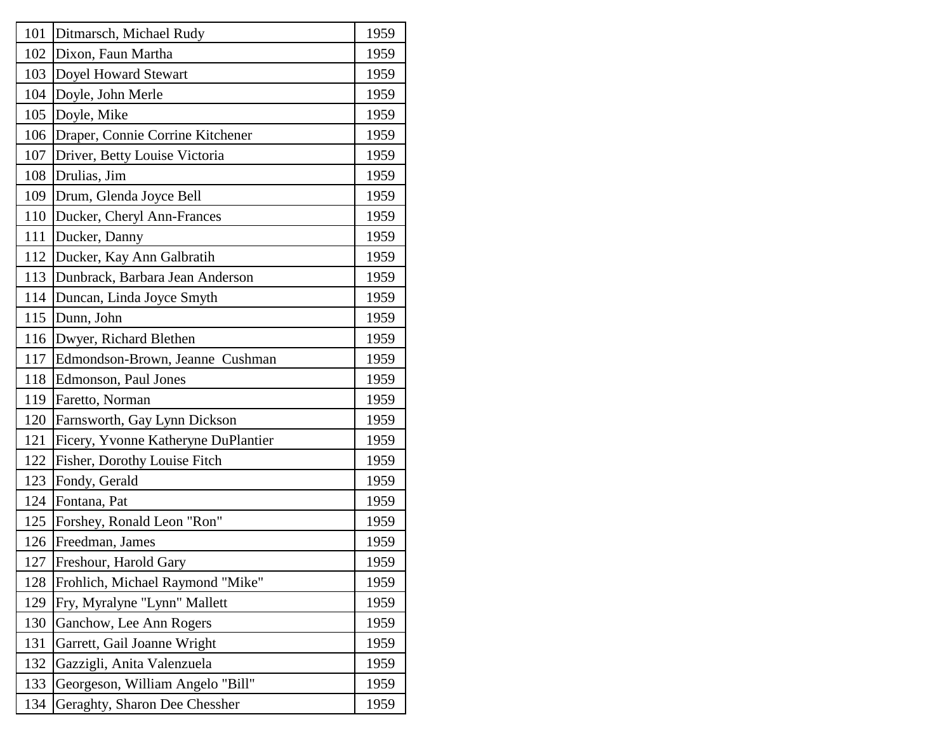| 101 | Ditmarsch, Michael Rudy             | 1959 |
|-----|-------------------------------------|------|
| 102 | Dixon, Faun Martha                  | 1959 |
| 103 | Doyel Howard Stewart                | 1959 |
| 104 | Doyle, John Merle                   | 1959 |
| 105 | Doyle, Mike                         | 1959 |
| 106 | Draper, Connie Corrine Kitchener    | 1959 |
| 107 | Driver, Betty Louise Victoria       | 1959 |
| 108 | Drulias, Jim                        | 1959 |
| 109 | Drum, Glenda Joyce Bell             | 1959 |
| 110 | Ducker, Cheryl Ann-Frances          | 1959 |
| 111 | Ducker, Danny                       | 1959 |
| 112 | Ducker, Kay Ann Galbratih           | 1959 |
| 113 | Dunbrack, Barbara Jean Anderson     | 1959 |
| 114 | Duncan, Linda Joyce Smyth           | 1959 |
| 115 | Dunn, John                          | 1959 |
| 116 | Dwyer, Richard Blethen              | 1959 |
| 117 | Edmondson-Brown, Jeanne Cushman     | 1959 |
| 118 | Edmonson, Paul Jones                | 1959 |
| 119 | Faretto, Norman                     | 1959 |
| 120 | Farnsworth, Gay Lynn Dickson        | 1959 |
| 121 | Ficery, Yvonne Katheryne DuPlantier | 1959 |
| 122 | Fisher, Dorothy Louise Fitch        | 1959 |
| 123 | Fondy, Gerald                       | 1959 |
| 124 | Fontana, Pat                        | 1959 |
| 125 | Forshey, Ronald Leon "Ron"          | 1959 |
| 126 | Freedman, James                     | 1959 |
| 127 | Freshour, Harold Gary               | 1959 |
| 128 | Frohlich, Michael Raymond "Mike"    | 1959 |
| 129 | Fry, Myralyne "Lynn" Mallett        | 1959 |
| 130 | Ganchow, Lee Ann Rogers             | 1959 |
| 131 | Garrett, Gail Joanne Wright         | 1959 |
| 132 | Gazzigli, Anita Valenzuela          | 1959 |
| 133 | Georgeson, William Angelo "Bill"    | 1959 |
| 134 | Geraghty, Sharon Dee Chessher       | 1959 |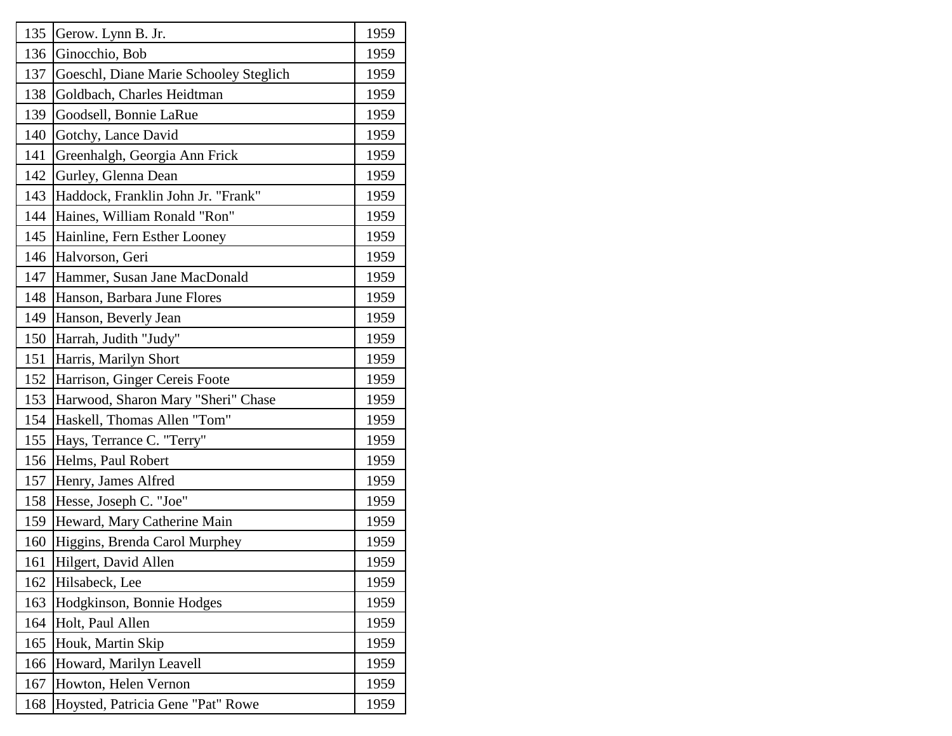| 135 | Gerow. Lynn B. Jr.                     | 1959 |
|-----|----------------------------------------|------|
| 136 | Ginocchio, Bob                         | 1959 |
| 137 | Goeschl, Diane Marie Schooley Steglich | 1959 |
| 138 | Goldbach, Charles Heidtman             | 1959 |
| 139 | Goodsell, Bonnie LaRue                 | 1959 |
| 140 | Gotchy, Lance David                    | 1959 |
| 141 | Greenhalgh, Georgia Ann Frick          | 1959 |
| 142 | Gurley, Glenna Dean                    | 1959 |
| 143 | Haddock, Franklin John Jr. "Frank"     | 1959 |
| 144 | Haines, William Ronald "Ron"           | 1959 |
| 145 | Hainline, Fern Esther Looney           | 1959 |
| 146 | Halvorson, Geri                        | 1959 |
| 147 | Hammer, Susan Jane MacDonald           | 1959 |
| 148 | Hanson, Barbara June Flores            | 1959 |
| 149 | Hanson, Beverly Jean                   | 1959 |
| 150 | Harrah, Judith "Judy"                  | 1959 |
| 151 | Harris, Marilyn Short                  | 1959 |
| 152 | Harrison, Ginger Cereis Foote          | 1959 |
| 153 | Harwood, Sharon Mary "Sheri" Chase     | 1959 |
| 154 | Haskell, Thomas Allen "Tom"            | 1959 |
| 155 | Hays, Terrance C. "Terry"              | 1959 |
| 156 | Helms, Paul Robert                     | 1959 |
| 157 | Henry, James Alfred                    | 1959 |
| 158 | Hesse, Joseph C. "Joe"                 | 1959 |
| 159 | Heward, Mary Catherine Main            | 1959 |
| 160 | Higgins, Brenda Carol Murphey          | 1959 |
| 161 | Hilgert, David Allen                   | 1959 |
| 162 | Hilsabeck, Lee                         | 1959 |
| 163 | Hodgkinson, Bonnie Hodges              | 1959 |
| 164 | Holt, Paul Allen                       | 1959 |
| 165 | Houk, Martin Skip                      | 1959 |
| 166 | Howard, Marilyn Leavell                | 1959 |
| 167 | Howton, Helen Vernon                   | 1959 |
| 168 | Hoysted, Patricia Gene "Pat" Rowe      | 1959 |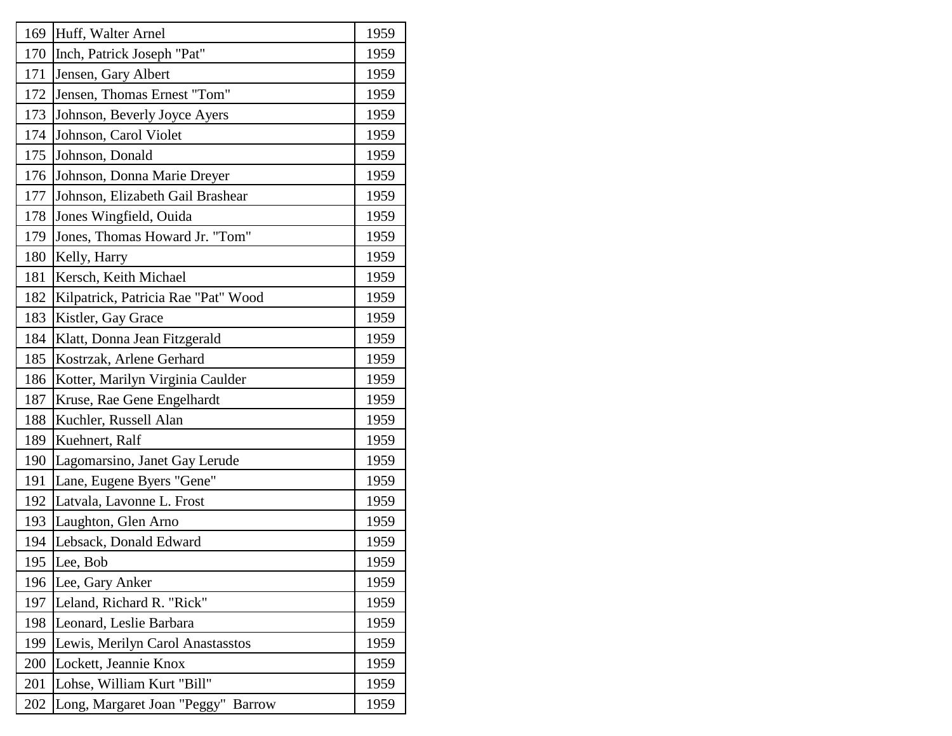| 169 | Huff, Walter Arnel                  | 1959 |
|-----|-------------------------------------|------|
| 170 | Inch, Patrick Joseph "Pat"          | 1959 |
| 171 | Jensen, Gary Albert                 | 1959 |
| 172 | Jensen, Thomas Ernest "Tom"         | 1959 |
| 173 | Johnson, Beverly Joyce Ayers        | 1959 |
| 174 | Johnson, Carol Violet               | 1959 |
| 175 | Johnson, Donald                     | 1959 |
| 176 | Johnson, Donna Marie Dreyer         | 1959 |
| 177 | Johnson, Elizabeth Gail Brashear    | 1959 |
| 178 | Jones Wingfield, Ouida              | 1959 |
| 179 | Jones, Thomas Howard Jr. "Tom"      | 1959 |
| 180 | Kelly, Harry                        | 1959 |
| 181 | Kersch, Keith Michael               | 1959 |
| 182 | Kilpatrick, Patricia Rae "Pat" Wood | 1959 |
| 183 | Kistler, Gay Grace                  | 1959 |
| 184 | Klatt, Donna Jean Fitzgerald        | 1959 |
| 185 | Kostrzak, Arlene Gerhard            | 1959 |
| 186 | Kotter, Marilyn Virginia Caulder    | 1959 |
| 187 | Kruse, Rae Gene Engelhardt          | 1959 |
| 188 | Kuchler, Russell Alan               | 1959 |
| 189 | Kuehnert, Ralf                      | 1959 |
| 190 | Lagomarsino, Janet Gay Lerude       | 1959 |
| 191 | Lane, Eugene Byers "Gene"           | 1959 |
| 192 | Latvala, Lavonne L. Frost           | 1959 |
| 193 | Laughton, Glen Arno                 | 1959 |
| 194 | Lebsack, Donald Edward              | 1959 |
| 195 | Lee, Bob                            | 1959 |
| 196 | Lee, Gary Anker                     | 1959 |
| 197 | Leland, Richard R. "Rick"           | 1959 |
| 198 | Leonard, Leslie Barbara             | 1959 |
| 199 | Lewis, Merilyn Carol Anastasstos    | 1959 |
| 200 | Lockett, Jeannie Knox               | 1959 |
| 201 | Lohse, William Kurt "Bill"          | 1959 |
| 202 | Long, Margaret Joan "Peggy" Barrow  | 1959 |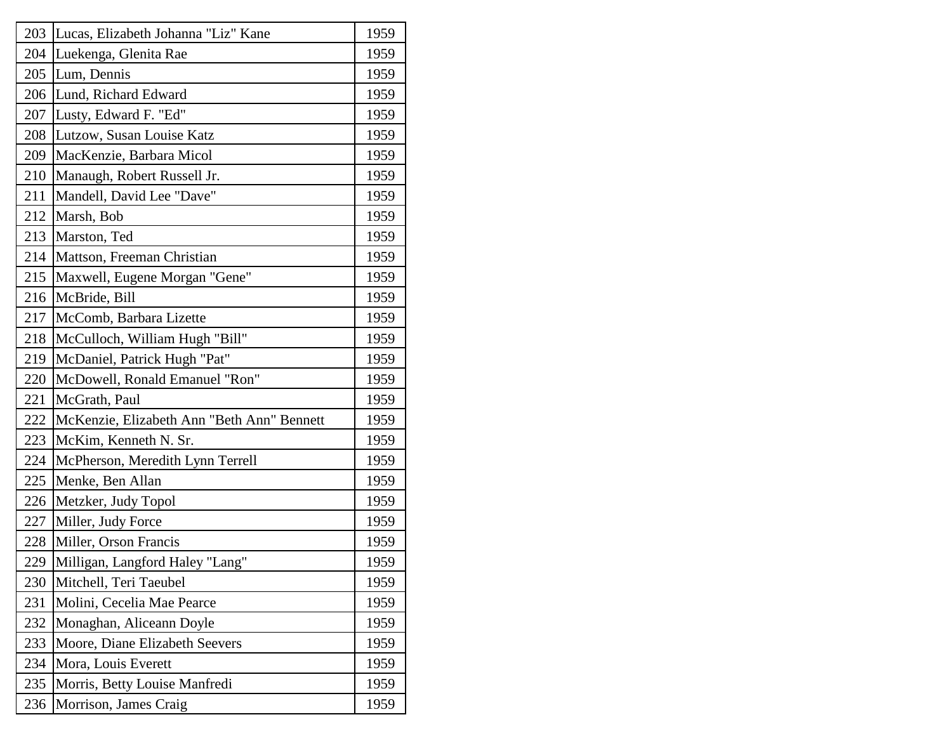| 203 | Lucas, Elizabeth Johanna "Liz" Kane        | 1959 |
|-----|--------------------------------------------|------|
| 204 | Luekenga, Glenita Rae                      | 1959 |
| 205 | Lum, Dennis                                | 1959 |
| 206 | Lund, Richard Edward                       | 1959 |
| 207 | Lusty, Edward F. "Ed"                      | 1959 |
| 208 | Lutzow, Susan Louise Katz                  | 1959 |
| 209 | MacKenzie, Barbara Micol                   | 1959 |
| 210 | Manaugh, Robert Russell Jr.                | 1959 |
| 211 | Mandell, David Lee "Dave"                  | 1959 |
| 212 | Marsh, Bob                                 | 1959 |
| 213 | Marston, Ted                               | 1959 |
| 214 | Mattson, Freeman Christian                 | 1959 |
| 215 | Maxwell, Eugene Morgan "Gene"              | 1959 |
| 216 | McBride, Bill                              | 1959 |
| 217 | McComb, Barbara Lizette                    | 1959 |
| 218 | McCulloch, William Hugh "Bill"             | 1959 |
| 219 | McDaniel, Patrick Hugh "Pat"               | 1959 |
| 220 | McDowell, Ronald Emanuel "Ron"             | 1959 |
| 221 | McGrath, Paul                              | 1959 |
| 222 | McKenzie, Elizabeth Ann "Beth Ann" Bennett | 1959 |
| 223 | McKim, Kenneth N. Sr.                      | 1959 |
| 224 | McPherson, Meredith Lynn Terrell           | 1959 |
| 225 | Menke, Ben Allan                           | 1959 |
| 226 | Metzker, Judy Topol                        | 1959 |
| 227 | Miller, Judy Force                         | 1959 |
| 228 | Miller, Orson Francis                      | 1959 |
| 229 | Milligan, Langford Haley "Lang"            | 1959 |
| 230 | Mitchell, Teri Taeubel                     | 1959 |
| 231 | Molini, Cecelia Mae Pearce                 | 1959 |
| 232 | Monaghan, Aliceann Doyle                   | 1959 |
| 233 | Moore, Diane Elizabeth Seevers             | 1959 |
| 234 | Mora, Louis Everett                        | 1959 |
| 235 | Morris, Betty Louise Manfredi              | 1959 |
| 236 | Morrison, James Craig                      | 1959 |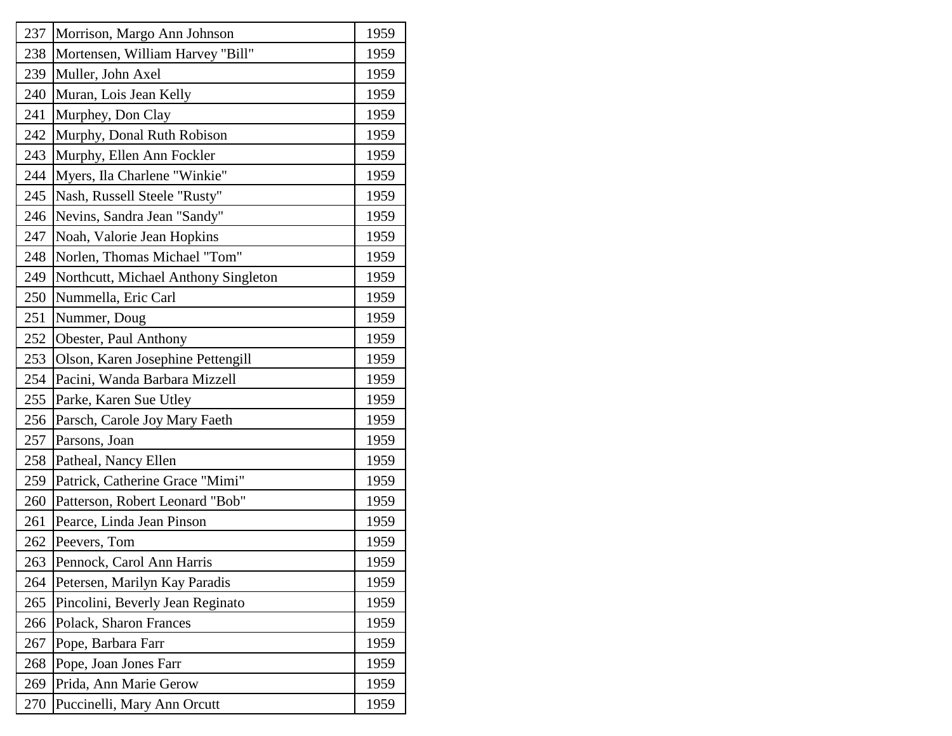| 237 | Morrison, Margo Ann Johnson          | 1959 |
|-----|--------------------------------------|------|
| 238 | Mortensen, William Harvey "Bill"     | 1959 |
| 239 | Muller, John Axel                    | 1959 |
| 240 | Muran, Lois Jean Kelly               | 1959 |
| 241 | Murphey, Don Clay                    | 1959 |
| 242 | Murphy, Donal Ruth Robison           | 1959 |
| 243 | Murphy, Ellen Ann Fockler            | 1959 |
| 244 | Myers, Ila Charlene "Winkie"         | 1959 |
| 245 | Nash, Russell Steele "Rusty"         | 1959 |
| 246 | Nevins, Sandra Jean "Sandy"          | 1959 |
| 247 | Noah, Valorie Jean Hopkins           | 1959 |
| 248 | Norlen, Thomas Michael "Tom"         | 1959 |
| 249 | Northcutt, Michael Anthony Singleton | 1959 |
| 250 | Nummella, Eric Carl                  | 1959 |
| 251 | Nummer, Doug                         | 1959 |
| 252 | Obester, Paul Anthony                | 1959 |
| 253 | Olson, Karen Josephine Pettengill    | 1959 |
| 254 | Pacini, Wanda Barbara Mizzell        | 1959 |
| 255 | Parke, Karen Sue Utley               | 1959 |
| 256 | Parsch, Carole Joy Mary Faeth        | 1959 |
| 257 | Parsons, Joan                        | 1959 |
| 258 | Patheal, Nancy Ellen                 | 1959 |
| 259 | Patrick, Catherine Grace "Mimi"      | 1959 |
| 260 | Patterson, Robert Leonard "Bob"      | 1959 |
| 261 | Pearce, Linda Jean Pinson            | 1959 |
| 262 | Peevers, Tom                         | 1959 |
| 263 | Pennock, Carol Ann Harris            | 1959 |
| 264 | Petersen, Marilyn Kay Paradis        | 1959 |
| 265 | Pincolini, Beverly Jean Reginato     | 1959 |
| 266 | Polack, Sharon Frances               | 1959 |
| 267 | Pope, Barbara Farr                   | 1959 |
| 268 | Pope, Joan Jones Farr                | 1959 |
| 269 | Prida, Ann Marie Gerow               | 1959 |
| 270 | Puccinelli, Mary Ann Orcutt          | 1959 |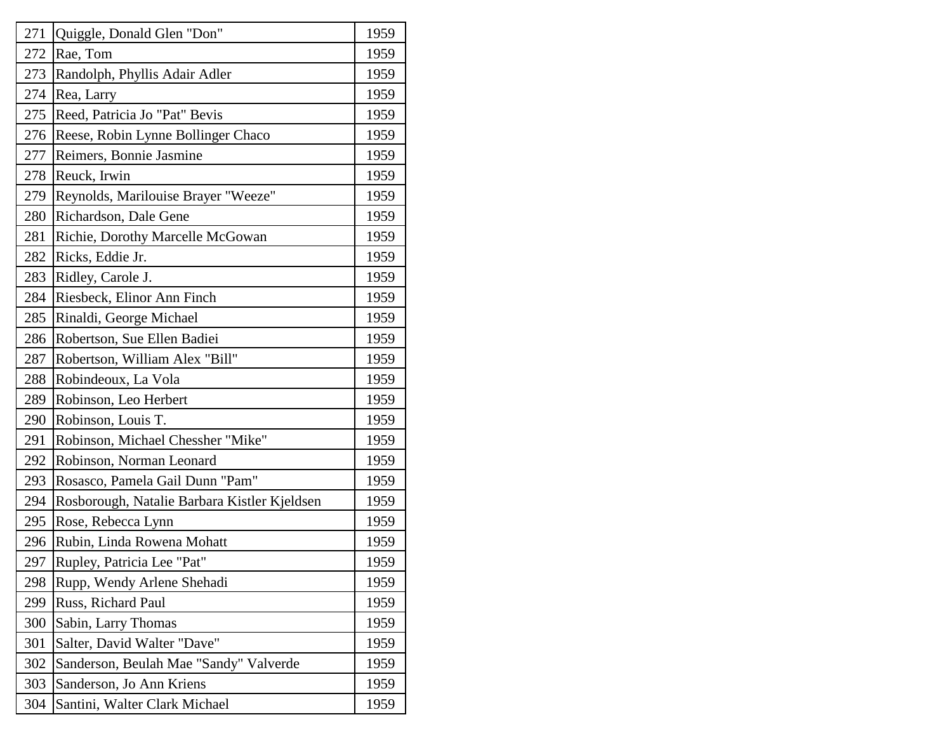| 271 | Quiggle, Donald Glen "Don"                   | 1959 |
|-----|----------------------------------------------|------|
| 272 | Rae, Tom                                     | 1959 |
| 273 | Randolph, Phyllis Adair Adler                | 1959 |
| 274 | Rea, Larry                                   | 1959 |
| 275 | Reed, Patricia Jo "Pat" Bevis                | 1959 |
| 276 | Reese, Robin Lynne Bollinger Chaco           | 1959 |
| 277 | Reimers, Bonnie Jasmine                      | 1959 |
| 278 | Reuck, Irwin                                 | 1959 |
| 279 | Reynolds, Marilouise Brayer "Weeze"          | 1959 |
| 280 | Richardson, Dale Gene                        | 1959 |
| 281 | Richie, Dorothy Marcelle McGowan             | 1959 |
| 282 | Ricks, Eddie Jr.                             | 1959 |
| 283 | Ridley, Carole J.                            | 1959 |
| 284 | Riesbeck, Elinor Ann Finch                   | 1959 |
| 285 | Rinaldi, George Michael                      | 1959 |
| 286 | Robertson, Sue Ellen Badiei                  | 1959 |
| 287 | Robertson, William Alex "Bill"               | 1959 |
| 288 | Robindeoux, La Vola                          | 1959 |
| 289 | Robinson, Leo Herbert                        | 1959 |
| 290 | Robinson, Louis T.                           | 1959 |
| 291 | Robinson, Michael Chessher "Mike"            | 1959 |
| 292 | Robinson, Norman Leonard                     | 1959 |
| 293 | Rosasco, Pamela Gail Dunn "Pam"              | 1959 |
| 294 | Rosborough, Natalie Barbara Kistler Kjeldsen | 1959 |
| 295 | Rose, Rebecca Lynn                           | 1959 |
| 296 | Rubin, Linda Rowena Mohatt                   | 1959 |
| 297 | Rupley, Patricia Lee "Pat"                   | 1959 |
| 298 | Rupp, Wendy Arlene Shehadi                   | 1959 |
| 299 | Russ, Richard Paul                           | 1959 |
| 300 | Sabin, Larry Thomas                          | 1959 |
| 301 | Salter, David Walter "Dave"                  | 1959 |
| 302 | Sanderson, Beulah Mae "Sandy" Valverde       | 1959 |
| 303 | Sanderson, Jo Ann Kriens                     | 1959 |
| 304 | Santini, Walter Clark Michael                | 1959 |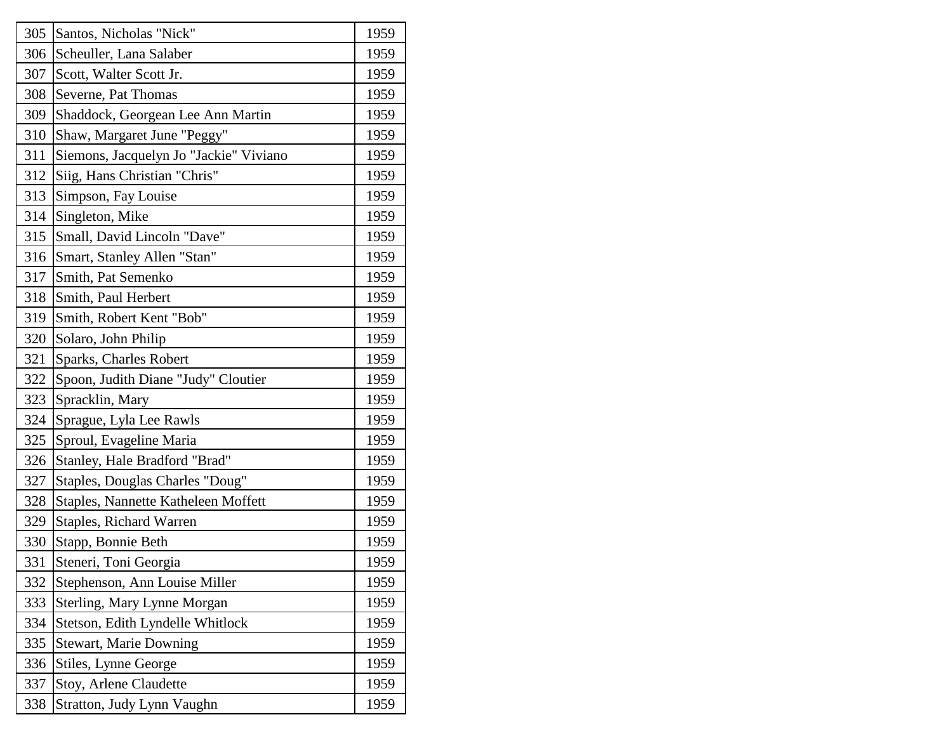| 305 | Santos, Nicholas "Nick"                | 1959 |
|-----|----------------------------------------|------|
| 306 | Scheuller, Lana Salaber                | 1959 |
| 307 | Scott, Walter Scott Jr.                | 1959 |
| 308 | Severne, Pat Thomas                    | 1959 |
| 309 | Shaddock, Georgean Lee Ann Martin      | 1959 |
| 310 | Shaw, Margaret June "Peggy"            | 1959 |
| 311 | Siemons, Jacquelyn Jo "Jackie" Viviano | 1959 |
| 312 | Siig, Hans Christian "Chris"           | 1959 |
| 313 | Simpson, Fay Louise                    | 1959 |
| 314 | Singleton, Mike                        | 1959 |
| 315 | Small, David Lincoln "Dave"            | 1959 |
| 316 | Smart, Stanley Allen "Stan"            | 1959 |
| 317 | Smith, Pat Semenko                     | 1959 |
| 318 | Smith, Paul Herbert                    | 1959 |
| 319 | Smith, Robert Kent "Bob"               | 1959 |
| 320 | Solaro, John Philip                    | 1959 |
| 321 | Sparks, Charles Robert                 | 1959 |
| 322 | Spoon, Judith Diane "Judy" Cloutier    | 1959 |
| 323 | Spracklin, Mary                        | 1959 |
| 324 | Sprague, Lyla Lee Rawls                | 1959 |
| 325 | Sproul, Evageline Maria                | 1959 |
| 326 | Stanley, Hale Bradford "Brad"          | 1959 |
| 327 | Staples, Douglas Charles "Doug"        | 1959 |
| 328 | Staples, Nannette Katheleen Moffett    | 1959 |
| 329 | Staples, Richard Warren                | 1959 |
| 330 | Stapp, Bonnie Beth                     | 1959 |
| 331 | Steneri, Toni Georgia                  | 1959 |
| 332 | Stephenson, Ann Louise Miller          | 1959 |
| 333 | Sterling, Mary Lynne Morgan            | 1959 |
| 334 | Stetson, Edith Lyndelle Whitlock       | 1959 |
| 335 | <b>Stewart, Marie Downing</b>          | 1959 |
| 336 | Stiles, Lynne George                   | 1959 |
| 337 | Stoy, Arlene Claudette                 | 1959 |
| 338 | Stratton, Judy Lynn Vaughn             | 1959 |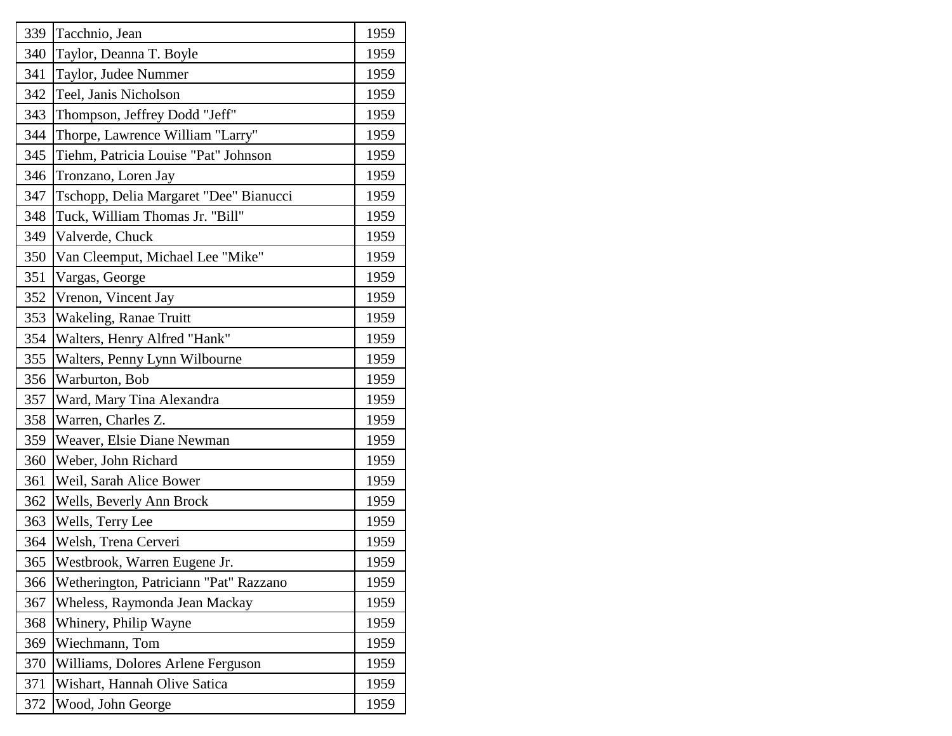| 339 | Tacchnio, Jean                         | 1959 |
|-----|----------------------------------------|------|
| 340 | Taylor, Deanna T. Boyle                | 1959 |
| 341 | Taylor, Judee Nummer                   | 1959 |
| 342 | Teel, Janis Nicholson                  | 1959 |
| 343 | Thompson, Jeffrey Dodd "Jeff"          | 1959 |
| 344 | Thorpe, Lawrence William "Larry"       | 1959 |
| 345 | Tiehm, Patricia Louise "Pat" Johnson   | 1959 |
| 346 | Tronzano, Loren Jay                    | 1959 |
| 347 | Tschopp, Delia Margaret "Dee" Bianucci | 1959 |
| 348 | Tuck, William Thomas Jr. "Bill"        | 1959 |
| 349 | Valverde, Chuck                        | 1959 |
| 350 | Van Cleemput, Michael Lee "Mike"       | 1959 |
| 351 | Vargas, George                         | 1959 |
| 352 | Vrenon, Vincent Jay                    | 1959 |
| 353 | Wakeling, Ranae Truitt                 | 1959 |
| 354 | Walters, Henry Alfred "Hank"           | 1959 |
| 355 | Walters, Penny Lynn Wilbourne          | 1959 |
| 356 | Warburton, Bob                         | 1959 |
| 357 | Ward, Mary Tina Alexandra              | 1959 |
| 358 | Warren, Charles Z.                     | 1959 |
| 359 | Weaver, Elsie Diane Newman             | 1959 |
| 360 | Weber, John Richard                    | 1959 |
| 361 | Weil, Sarah Alice Bower                | 1959 |
| 362 | Wells, Beverly Ann Brock               | 1959 |
| 363 | Wells, Terry Lee                       | 1959 |
| 364 | Welsh, Trena Cerveri                   | 1959 |
| 365 | Westbrook, Warren Eugene Jr.           | 1959 |
| 366 | Wetherington, Patriciann "Pat" Razzano | 1959 |
| 367 | Wheless, Raymonda Jean Mackay          | 1959 |
| 368 | Whinery, Philip Wayne                  | 1959 |
| 369 | Wiechmann, Tom                         | 1959 |
| 370 | Williams, Dolores Arlene Ferguson      | 1959 |
| 371 | Wishart, Hannah Olive Satica           | 1959 |
| 372 | Wood, John George                      | 1959 |